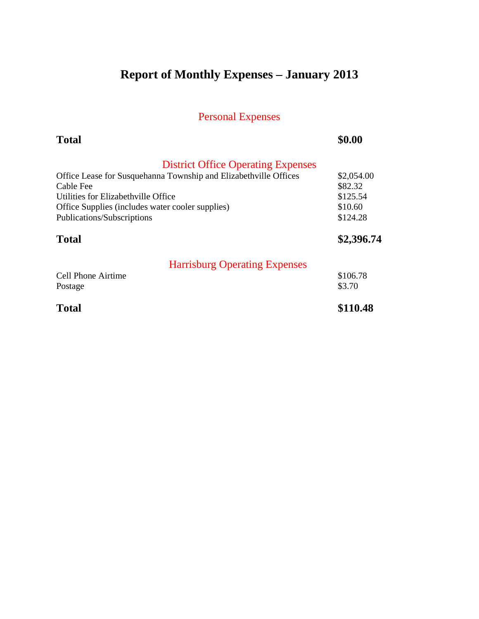# **Report of Monthly Expenses – January 2013**

| <b>Total</b>                                                     | \$0.00     |
|------------------------------------------------------------------|------------|
| <b>District Office Operating Expenses</b>                        |            |
| Office Lease for Susquehanna Township and Elizabethville Offices | \$2,054.00 |
| Cable Fee                                                        | \$82.32    |
| Utilities for Elizabethville Office                              | \$125.54   |
| Office Supplies (includes water cooler supplies)                 | \$10.60    |
| Publications/Subscriptions                                       | \$124.28   |
| <b>Total</b>                                                     | \$2,396.74 |
| <b>Harrisburg Operating Expenses</b>                             |            |
| <b>Cell Phone Airtime</b>                                        | \$106.78   |
| Postage                                                          | \$3.70     |
| <b>Total</b>                                                     | \$110.48   |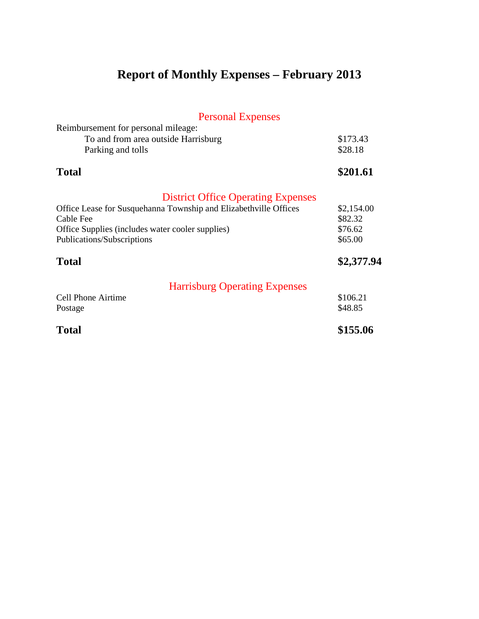# **Report of Monthly Expenses – February 2013**

| <b>Personal Expenses</b>                                                                                                                                                                                                     |                                                           |
|------------------------------------------------------------------------------------------------------------------------------------------------------------------------------------------------------------------------------|-----------------------------------------------------------|
| Reimbursement for personal mileage:<br>To and from area outside Harrisburg<br>Parking and tolls                                                                                                                              | \$173.43<br>\$28.18                                       |
| <b>Total</b>                                                                                                                                                                                                                 | \$201.61                                                  |
| <b>District Office Operating Expenses</b><br>Office Lease for Susquehanna Township and Elizabethville Offices<br>Cable Fee<br>Office Supplies (includes water cooler supplies)<br>Publications/Subscriptions<br><b>Total</b> | \$2,154.00<br>\$82.32<br>\$76.62<br>\$65.00<br>\$2,377.94 |
| <b>Harrisburg Operating Expenses</b><br><b>Cell Phone Airtime</b><br>Postage                                                                                                                                                 | \$106.21<br>\$48.85                                       |
| <b>Total</b>                                                                                                                                                                                                                 | \$155.06                                                  |
|                                                                                                                                                                                                                              |                                                           |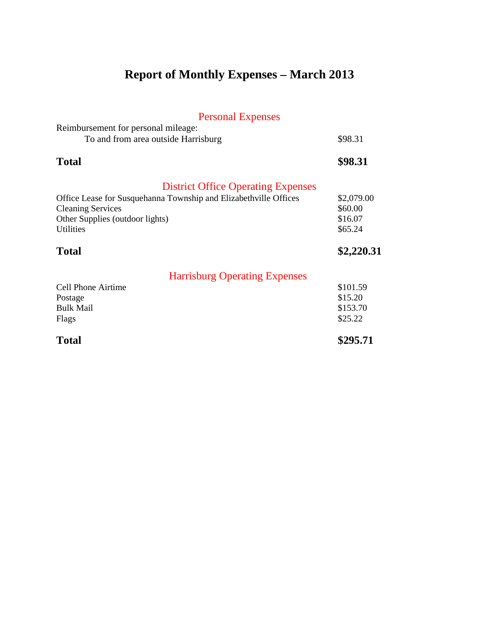# **Report of Monthly Expenses – March 2013**

| <b>Personal Expenses</b>                                                   |            |
|----------------------------------------------------------------------------|------------|
| Reimbursement for personal mileage:<br>To and from area outside Harrisburg | \$98.31    |
| <b>Total</b>                                                               | \$98.31    |
| <b>District Office Operating Expenses</b>                                  |            |
| Office Lease for Susquehanna Township and Elizabethville Offices           | \$2,079.00 |
| <b>Cleaning Services</b>                                                   | \$60.00    |
| Other Supplies (outdoor lights)                                            | \$16.07    |
| <b>Utilities</b>                                                           | \$65.24    |
| <b>Total</b>                                                               | \$2,220.31 |
| <b>Harrisburg Operating Expenses</b>                                       |            |
| <b>Cell Phone Airtime</b>                                                  | \$101.59   |
| Postage                                                                    | \$15.20    |
| <b>Bulk Mail</b>                                                           | \$153.70   |
| Flags                                                                      | \$25.22    |
| <b>Total</b>                                                               | \$295.71   |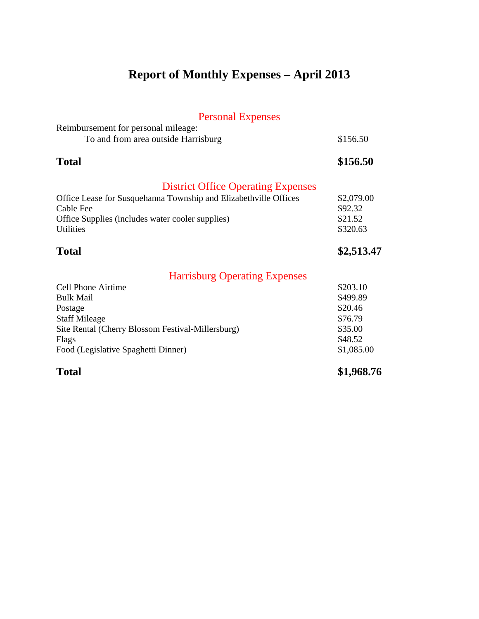### **Report of Monthly Expenses – April 2013**

### Personal Expenses Reimbursement for personal mileage: To and from area outside Harrisburg \$156.50 **Total \$156.50** District Office Operating Expenses Office Lease for Susquehanna Township and Elizabethville Offices \$2,079.00 Cable Fee \$92.32 Office Supplies (includes water cooler supplies) \$21.52 Utilities \$320.63 Total \$2,513.47 Harrisburg Operating Expenses Cell Phone Airtime  $$203.10$ Bulk Mail **Samuel Community State Service State State State State State State State State State State State State State State State State State State State State State State State State State State State State State State** Postage \$20.46 Staff Mileage \$76.79 Site Rental (Cherry Blossom Festival-Millersburg) \$35.00

Flags  $\$48.52$ Food (Legislative Spaghetti Dinner) \$1,085.00

**Total \$1,968.76**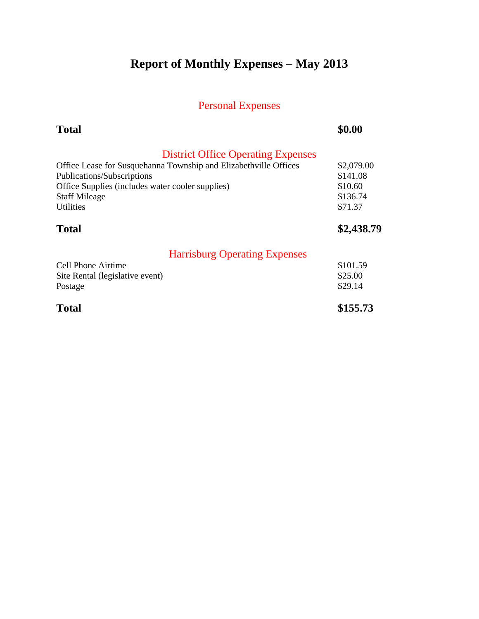# **Report of Monthly Expenses – May 2013**

| <b>Total</b>                                                     | \$0.00     |
|------------------------------------------------------------------|------------|
| <b>District Office Operating Expenses</b>                        |            |
| Office Lease for Susquehanna Township and Elizabethville Offices | \$2,079.00 |
| Publications/Subscriptions                                       | \$141.08   |
| Office Supplies (includes water cooler supplies)                 | \$10.60    |
| <b>Staff Mileage</b>                                             | \$136.74   |
| Utilities                                                        | \$71.37    |
| <b>Total</b>                                                     | \$2,438.79 |
| <b>Harrisburg Operating Expenses</b>                             |            |
| Cell Phone Airtime                                               | \$101.59   |
| Site Rental (legislative event)                                  | \$25.00    |
| Postage                                                          | \$29.14    |
| <b>Total</b>                                                     | \$155.73   |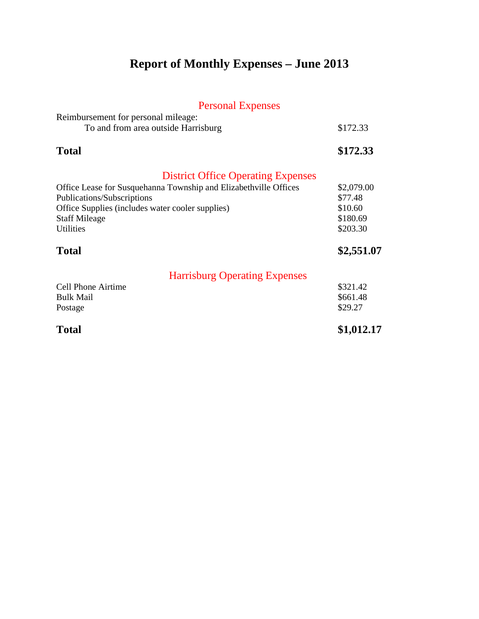# **Report of Monthly Expenses – June 2013**

| Reimbursement for personal mileage:                              |            |
|------------------------------------------------------------------|------------|
| To and from area outside Harrisburg                              | \$172.33   |
| <b>Total</b>                                                     | \$172.33   |
| <b>District Office Operating Expenses</b>                        |            |
| Office Lease for Susquehanna Township and Elizabethville Offices | \$2,079.00 |
| Publications/Subscriptions                                       | \$77.48    |
| Office Supplies (includes water cooler supplies)                 | \$10.60    |
| <b>Staff Mileage</b>                                             | \$180.69   |
| <b>Utilities</b>                                                 | \$203.30   |
| <b>Total</b>                                                     | \$2,551.07 |
| <b>Harrisburg Operating Expenses</b>                             |            |
| Cell Phone Airtime                                               | \$321.42   |
| <b>Bulk Mail</b>                                                 | \$661.48   |
| Postage                                                          | \$29.27    |
| <b>Total</b>                                                     | \$1,012.17 |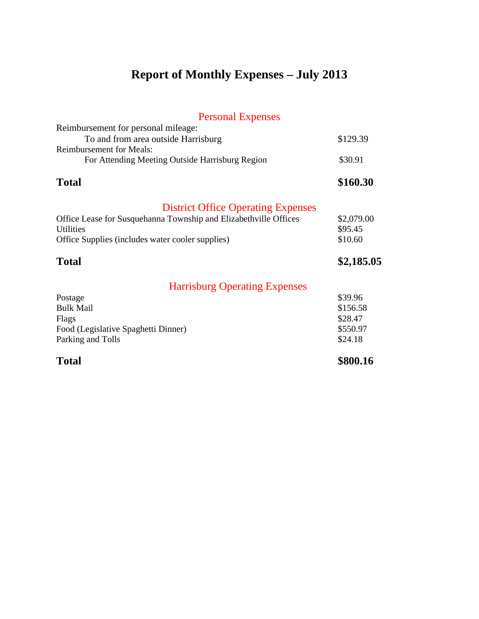# **Report of Monthly Expenses – July 2013**

| <b>Personal Expenses</b>                                                                                                                                                                              |                                                       |
|-------------------------------------------------------------------------------------------------------------------------------------------------------------------------------------------------------|-------------------------------------------------------|
| Reimbursement for personal mileage:<br>To and from area outside Harrisburg<br><b>Reimbursement for Meals:</b><br>For Attending Meeting Outside Harrisburg Region                                      | \$129.39<br>\$30.91                                   |
|                                                                                                                                                                                                       |                                                       |
| <b>Total</b>                                                                                                                                                                                          | \$160.30                                              |
| <b>District Office Operating Expenses</b><br>Office Lease for Susquehanna Township and Elizabethville Offices<br><b>Utilities</b><br>Office Supplies (includes water cooler supplies)<br><b>Total</b> | \$2,079.00<br>\$95.45<br>\$10.60<br>\$2,185.05        |
| <b>Harrisburg Operating Expenses</b>                                                                                                                                                                  |                                                       |
| Postage<br><b>Bulk Mail</b><br>Flags<br>Food (Legislative Spaghetti Dinner)<br>Parking and Tolls                                                                                                      | \$39.96<br>\$156.58<br>\$28.47<br>\$550.97<br>\$24.18 |
| <b>Total</b>                                                                                                                                                                                          | \$800.16                                              |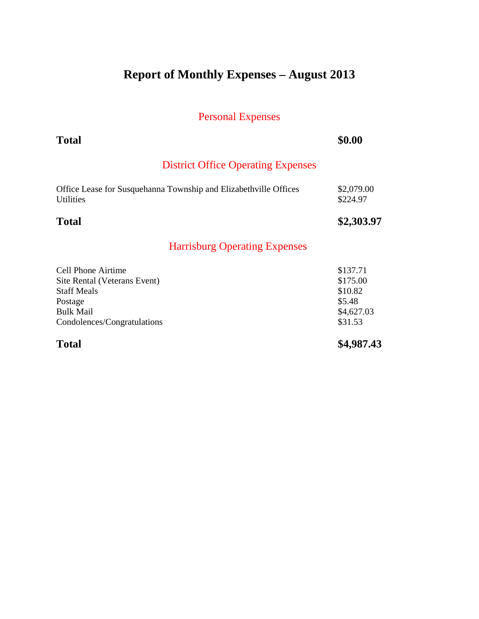## **Report of Monthly Expenses – August 2013**

| <b>Total</b>                                                                                                                           | \$0.00                                                             |
|----------------------------------------------------------------------------------------------------------------------------------------|--------------------------------------------------------------------|
| <b>District Office Operating Expenses</b>                                                                                              |                                                                    |
| Office Lease for Susquehanna Township and Elizabethville Offices<br><b>Utilities</b>                                                   | \$2,079.00<br>\$224.97                                             |
| <b>Total</b>                                                                                                                           | \$2,303.97                                                         |
| <b>Harrisburg Operating Expenses</b>                                                                                                   |                                                                    |
| Cell Phone Airtime<br>Site Rental (Veterans Event)<br><b>Staff Meals</b><br>Postage<br><b>Bulk Mail</b><br>Condolences/Congratulations | \$137.71<br>\$175.00<br>\$10.82<br>\$5.48<br>\$4,627.03<br>\$31.53 |
| <b>Total</b>                                                                                                                           | \$4,987.43                                                         |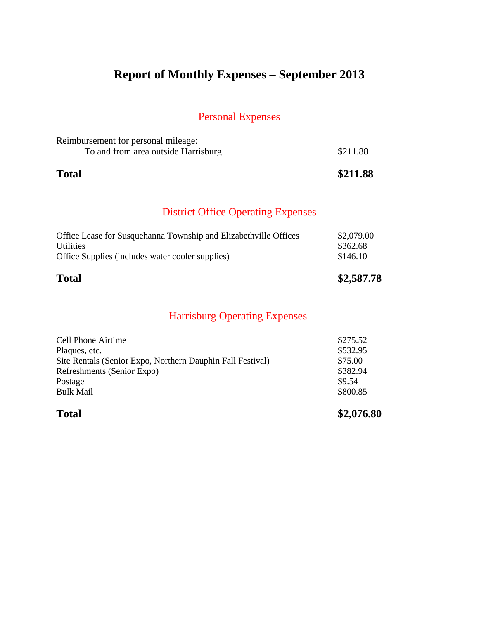## **Report of Monthly Expenses – September 2013**

### Personal Expenses

| <b>Total</b>                                                               | \$211.88 |
|----------------------------------------------------------------------------|----------|
| Reimbursement for personal mileage:<br>To and from area outside Harrisburg | \$211.88 |

### District Office Operating Expenses

| \$2,079.00<br>Office Lease for Susquehanna Township and Elizabethville Offices<br>\$362.68<br><b>Utilities</b><br>\$146.10<br>Office Supplies (includes water cooler supplies) | <b>Total</b> | \$2,587.78 |
|--------------------------------------------------------------------------------------------------------------------------------------------------------------------------------|--------------|------------|
|                                                                                                                                                                                |              |            |

| <b>Total</b>                                               | \$2,076.80 |
|------------------------------------------------------------|------------|
| <b>Bulk Mail</b>                                           | \$800.85   |
| Postage                                                    | \$9.54     |
| Refreshments (Senior Expo)                                 | \$382.94   |
| Site Rentals (Senior Expo, Northern Dauphin Fall Festival) | \$75.00    |
| Plaques, etc.                                              | \$532.95   |
| <b>Cell Phone Airtime</b>                                  | \$275.52   |
|                                                            |            |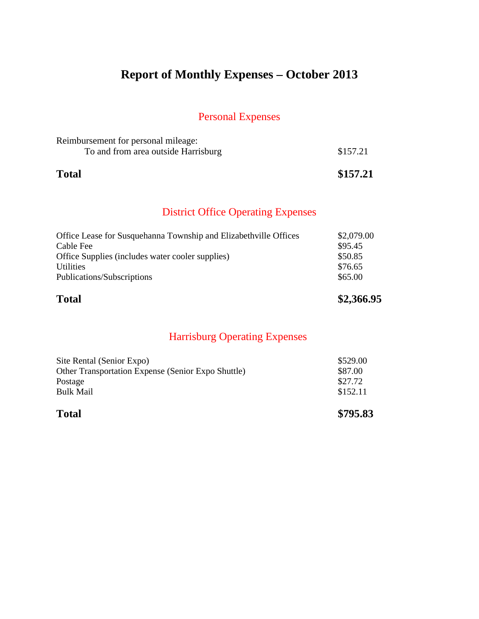## **Report of Monthly Expenses – October 2013**

### Personal Expenses

| <b>Total</b>                                                               | \$157.21 |
|----------------------------------------------------------------------------|----------|
| Reimbursement for personal mileage:<br>To and from area outside Harrisburg | \$157.21 |

### District Office Operating Expenses

| <b>Total</b>                                                     | \$2,366.95 |
|------------------------------------------------------------------|------------|
| Publications/Subscriptions                                       | \$65.00    |
| <b>Utilities</b>                                                 | \$76.65    |
| Office Supplies (includes water cooler supplies)                 | \$50.85    |
| Cable Fee                                                        | \$95.45    |
| Office Lease for Susquehanna Township and Elizabethville Offices | \$2,079.00 |

| <b>Total</b>                                       | \$795.83 |
|----------------------------------------------------|----------|
| <b>Bulk Mail</b>                                   | \$152.11 |
| Postage                                            | \$27.72  |
| Other Transportation Expense (Senior Expo Shuttle) | \$87.00  |
| Site Rental (Senior Expo)                          | \$529.00 |
|                                                    |          |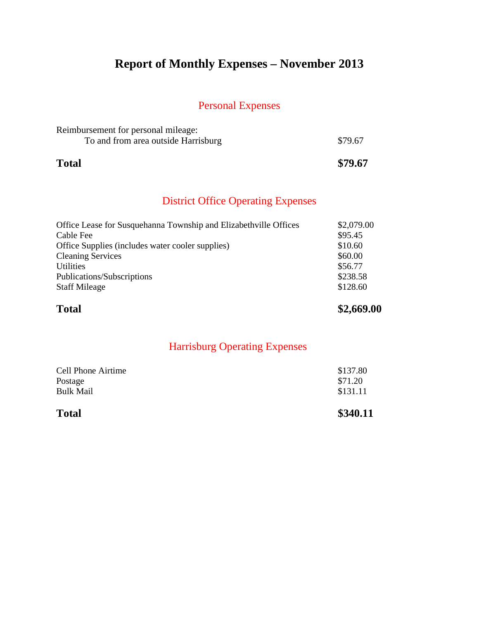## **Report of Monthly Expenses – November 2013**

### Personal Expenses

| <b>Total</b>                        | \$79.67 |
|-------------------------------------|---------|
| To and from area outside Harrisburg | \$79.67 |
| Reimbursement for personal mileage: |         |

### District Office Operating Expenses

| \$128.60   |
|------------|
| \$238.58   |
| \$56.77    |
| \$60.00    |
| \$10.60    |
| \$95.45    |
| \$2,079.00 |
|            |

| \$340.11            |
|---------------------|
| \$131.11            |
| \$137.80<br>\$71.20 |
|                     |